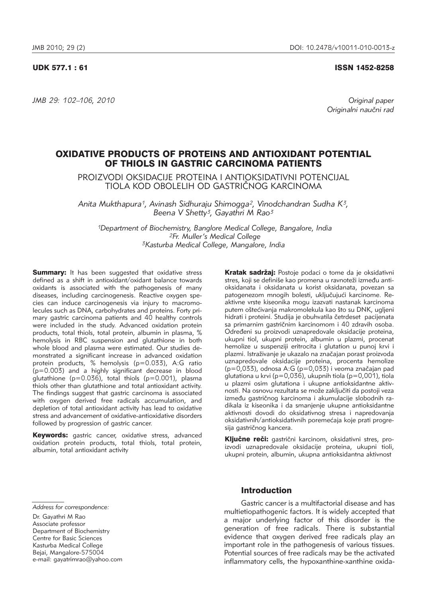### UDK 577.1 : 61 ISSN 1452-8258

*JMB 29: 102–106, 2010 Original paper*

Originalni naučni rad

# OXIDATIVE PRODUCTS OF PROTEINS AND ANTIOXIDANT POTENTIAL OF THIOLS IN GASTRIC CARCINOMA PATIENTS

PROIZVODI OKSIDACIJE PROTEINA I ANTIOKSIDATIVNI POTENCIJAL TIOLA KOD OBOLELIH OD GASTRI^NOG KARCINOMA

*Anita Mukthapura1, Avinash Sidhuraju Shimogga2, Vinodchandran Sudha K3, Beena V Shetty3, Gayathri M Rao3*

*1Department of Biochemistry, Banglore Medical College, Bangalore, India 2Fr. Muller's Medical College 3Kasturba Medical College, Mangalore, India*

**Summary:** It has been suggested that oxidative stress defined as a shift in antioxidant/oxidant balance towards oxidants is associated with the pathogenesis of many diseases, including carcinogenesis. Reactive oxygen species can induce carcinogenesis via injury to macromolecules such as DNA, carbohydrates and proteins. Forty primary gastric carcinoma patients and 40 healthy controls were included in the study. Advanced oxidation protein products, total thiols, total protein, albumin in plasma, % hemolysis in RBC suspension and glutathione in both whole blood and plasma were estimated. Our studies demon strated a significant increase in advanced oxidation protein products, % hemolysis (p=0.033), A:G ratio (p=0.003) and a highly significant decrease in blood glutathione ( $p=0.036$ ), total thiols ( $p=0.001$ ), plasma thiols other than glutathione and total antioxidant activity. The findings suggest that gastric carcinoma is associated with oxygen derived free radicals accumulation, and depletion of total antioxidant activity has lead to oxidative stress and advancement of oxidative-antioxidative disorders followed by progression of gastric cancer.

Keywords: gastric cancer, oxidative stress, advanced oxidation protein products, total thiols, total protein, albumin, total antioxidant activity

Kratak sadržaj: Postoje podaci o tome da je oksidativni stres, koji se definiše kao promena u ravnoteži između antioksidanata i oksidanata u korist oksidanata, povezan sa patogenezom mnogih bolesti, uključujući karcinome. Reaktivne vrste kiseonika mogu izazvati nastanak karcinoma putem oštećivanja makromolekula kao što su DNK, ugljeni hidrati i proteini. Studija je obuhvatila četrdeset pacijenata sa primarnim gastričnim karcinomom i 40 zdravih osoba. Određeni su proizvodi uznapredovale oksidacije proteina, ukupni tiol, ukupni protein, albumin u plazmi, procenat hemolize u suspenziji eritrocita i glutation u punoj krvi i plazmi. Istraživanje je ukazalo na značajan porast proizvoda uznapredovale oksidacije proteina, procenta hemolize  $(p=0.033)$ , odnosa A:G  $(p=0.033)$  i veoma značajan pad glutationa u krvi (p=0,036), ukupnih tiola (p=0,001), tiola u plazmi osim glutationa i ukupne antioksidantne aktivnosti. Na osnovu rezultata se može zaključiti da postoji veza između gastričnog karcinoma i akumulacije slobodnih radikala iz kiseonika i da smanjenje ukupne antioksidantne aktivnosti dovodi do oksidativnog stresa i napredovanja oksidativnih/antioksidativnih poremećaja koje prati progresija gastričnog kancera.

Ključne reči: gastrični karcinom, oksidativni stres, proizvodi uznapredovale oksidacije proteina, ukupni tioli, ukupni protein, albumin, ukupna antioksidantna aktivnost

Dr. Gayathri M Rao Associate professor Department of Biochemistry Centre for Basic Sciences Kasturba Medical College Bejai, Mangalore-575004 e-mail: gayatrimrao@yahoo.com

## **Introduction**

Gastric cancer is a multifactorial disease and has multietiopathogenic factors. It is widely accepted that a major underlying factor of this disorder is the generation of free radicals. There is substantial evidence that oxygen derived free radicals play an important role in the pathogenesis of various tissues. Potential sources of free radicals may be the activated inflammatory cells, the hypoxanthine-xanthine oxida-

*Address for correspondence:*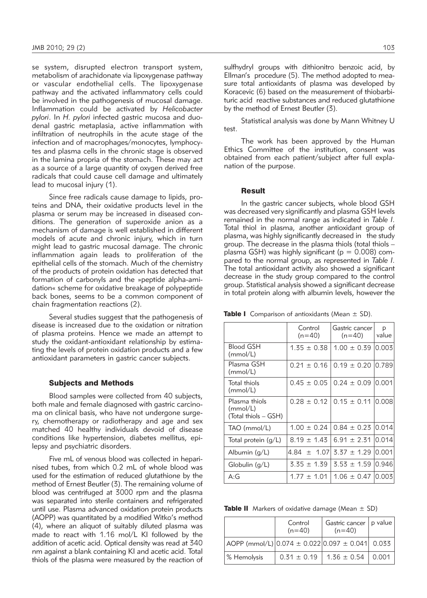se system, disrupted electron transport system, metabolism of arachidonate via lipoxygenase pathway or vascular endothelial cells. The lipoxygenase pathway and the activated inflammatory cells could be involved in the pathogenesis of mucosal damage. Inflammation could be activated by *Helicobacter pylori*. In *H. pylori* infected gastric mucosa and duodenal gastric metaplasia, active inflammation with infiltration of neutrophils in the acute stage of the infection and of macrophages/monocytes, lymphocytes and plasma cells in the chronic stage is observed in the lamina propria of the stomach. These may act as a source of a large quantity of oxygen derived free radicals that could cause cell damage and ultimately lead to mucosal injury (1).

Since free radicals cause damage to lipids, proteins and DNA, their oxidative products level in the plasma or serum may be increased in diseased conditions. The generation of superoxide anion as a mechanism of damage is well established in different models of acute and chronic injury, which in turn might lead to gastric mucosal damage. The chronic inflammation again leads to proliferation of the epithelial cells of the stomach. Much of the chemistry of the products of protein oxidation has detected that formation of carbonyls and the »peptide alpha-amidation« scheme for oxidative breakage of polypeptide back bones, seems to be a common component of chain fragmentation reactions (2).

Several studies suggest that the pathogenesis of disease is increased due to the oxidation or nitration of plasma proteins. Hence we made an attempt to study the oxidant-antioxidant relationship by estimating the levels of protein oxidation products and a few antioxidant parameters in gastric cancer subjects.

#### Subjects and Methods

Blood samples were collected from 40 subjects, both male and female diagnosed with gastric carcinoma on clinical basis, who have not undergone surgery, chemotherapy or radiotherapy and age and sex matched 40 healthy individuals devoid of disease conditions like hypertension, diabetes mellitus, epilepsy and psychiatric disorders.

Five mL of venous blood was collected in heparinised tubes, from which 0.2 mL of whole blood was used for the estimation of reduced glutathione by the method of Ernest Beutler (3). The remaining volume of blood was centrifuged at 3000 rpm and the plasma was separated into sterile containers and refrigerated until use. Plasma advanced oxidation protein products (AOPP) was quantitated by a modified Witko's method (4), where an aliquot of suitably diluted plasma was made to react with 1.16 mol/L KI followed by the addition of acetic acid. Optical density was read at 340 nm against a blank containing KI and acetic acid. Total thiols of the plasma were measured by the reaction of sulfhydryl groups with dithionitro benzoic acid, by Ellman's procedure (5). The method adopted to measure total antioxidants of plasma was developed by Koracevic (6) based on the measurement of thiobarbituric acid reactive substances and reduced glutathione by the method of Ernest Beutler (3).

Statistical analysis was done by Mann Whitney U test.

The work has been approved by the Human Ethics Committee of the institution, consent was obtained from each patient/subject after full explanation of the purpose.

#### Result

In the gastric cancer subjects, whole blood GSH was decreased very significantly and plasma GSH levels remained in the normal range as indicated in *Table I*. Total thiol in plasma, another antioxidant group of plasma, was highly significantly decreased in the study group. The decrease in the plasma thiols (total thiols – plasma GSH) was highly significant ( $p = 0.008$ ) compared to the normal group, as represented in *Table I*. The total antioxidant activity also showed a significant decrease in the study group compared to the control group. Statistical analysis showed a significant decrease in total protein along with albumin levels, however the

**Table I** Comparison of antioxidants (Mean  $\pm$  SD).

|                                                   | Control<br>$(n=40)$ | Gastric cancer<br>$(n=40)$ | p<br>value |
|---------------------------------------------------|---------------------|----------------------------|------------|
| <b>Blood GSH</b><br>(mmol/L)                      | $1.35 \pm 0.38$     | $1.00 \pm 0.39$            | 0.003      |
| Plasma GSH<br>(mmol/L)                            | $0.21 \pm 0.16$     | $0.19 \pm 0.20$            | 10.789     |
| Total thiols<br>(mmol/L)                          | $0.45 \pm 0.05$     | $0.24 \pm 0.09$            | 10.001     |
| Plasma thiols<br>(mmol/L)<br>(Total thiols – GSH) | $0.28 \pm 0.12$     | $0.15 \pm 0.11$            | 0.008      |
| TAO (mmol/L)                                      | $1.00 \pm 0.24$     | $0.84 \pm 0.23$ 0.014      |            |
| Total protein $(q/L)$                             | $8.19 \pm 1.43$     | $6.91 \pm 2.31$            | 10.014     |
| Albumin $(q/L)$                                   | 4.84 $\pm$ 1.07     | $3.37 \pm 1.29$            | 10.001     |
| Globulin $(q/L)$                                  | $3.35 \pm 1.39$     | $3.53 \pm 1.59$            | 10.946     |
| A:G                                               | $1.77 \pm 1.01$     | $1.06 \pm 0.47$ 10.003     |            |

**Table II** Markers of oxidative damage (Mean  $\pm$  SD)

|                                                         | Control<br>$(n=40)$ | Gastric cancer   p value<br>$(n=40)$ |       |
|---------------------------------------------------------|---------------------|--------------------------------------|-------|
| AOPP (mmol/L) $ 0.074 \pm 0.022 0.097 \pm 0.041 $ 0.033 |                     |                                      |       |
| % Hemolysis                                             | $0.31 \pm 0.19$     | $1.36 \pm 0.54$                      | 0.001 |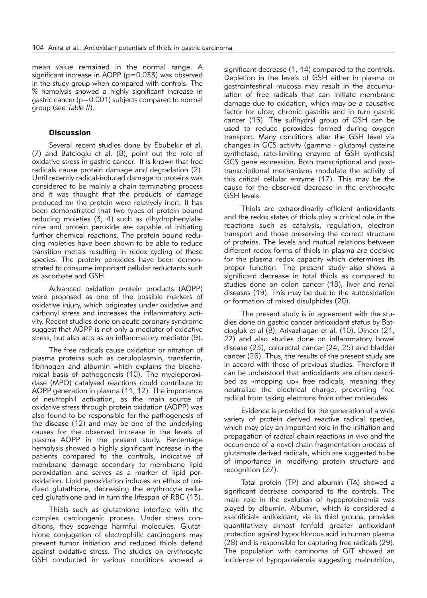mean value remained in the normal range. A significant increase in AOPP (p=0.033) was observed in the study group when compared with controls. The % hemolysis showed a highly significant increase in gastric cancer ( $p=0.001$ ) subjects compared to normal group (see *Table II*).

# **Discussion**

Several recent studies done by Ebubekir et al. (7) and Batcioglu et al. (8), point out the role of oxidative stress in gastric cancer. It is known that free radicals cause protein damage and degradation (2). Until recently radical-induced damage to proteins was considered to be mainly a chain terminating process and it was thought that the products of damage produced on the protein were relatively inert. It has been demonstrated that two types of protein bound reducing moieties (3, 4) such as dihydrophenylalanine and protein peroxide are capable of initiating further chemical reactions. The protein bound reducing moieties have been shown to be able to reduce transition metals resulting in redox cycling of these species. The protein peroxides have been demonstrated to consume important cellular reductants such as ascorbate and GSH.

Advanced oxidation protein products (AOPP) were proposed as one of the possible markers of oxidative injury, which originates under oxidative and carbonyl stress and increases the inflammatory activity. Recent studies done on acute coronary syndrome suggest that AOPP is not only a mediator of oxidative stress, but also acts as an inflammatory mediator (9).

The free radicals cause oxidation or nitration of plasma proteins such as ceruloplasmin, transferrin, fibrinogen and albumin which explains the biochemical basis of pathogenesis (10). The myeloperoxidase (MPO) catalysed reactions could contribute to AOPP generation in plasma (11, 12). The importance of neutrophil activation, as the main source of oxidative stress through protein oxidation (AOPP) was also found to be responsible for the pathogenesis of the disease (12) and may be one of the underlying causes for the observed increase in the levels of plasma AOPP in the present study. Percentage hemolysis showed a highly significant increase in the patients compared to the controls, indicative of membrane damage secondary to membrane lipid peroxidation and serves as a marker of lipid peroxidation. Lipid peroxidation induces an efflux of oxidized glutathione, decreasing the erythrocyte reduced glutathione and in turn the lifespan of RBC (13).

Thiols such as glutathione interfere with the complex carcinogenic process. Under stress conditions, they scavenge harmful molecules. Glutathione conjugation of electrophilic carcinogens may prevent tumor initiation and reduced thiols defend against oxidative stress. The studies on erythrocyte GSH conducted in various conditions showed a

significant decrease (1, 14) compared to the controls. Depletion in the levels of GSH either in plasma or gastrointestinal mucosa may result in the accumulation of free radicals that can initiate membrane damage due to oxidation, which may be a causative factor for ulcer, chronic gastritis and in turn gastric cancer (15). The sulfhydryl group of GSH can be used to reduce peroxides formed during oxygen transport. Many conditions alter the GSH level via changes in GCS activity (gamma - glutamyl cysteine synthetase, rate-limiting enzyme of GSH synthesis) GCS gene expression. Both transcriptional and posttranscrip tional mechanisms modulate the activity of this critical cellular enzyme (17). This may be the cause for the observed decrease in the erythrocyte GSH levels.

Thiols are extraordinarily efficient antioxidants and the redox states of thiols play a critical role in the reactions such as catalysis, regulation, electron transport and those preserving the correct structure of proteins. The levels and mutual relations between different redox forms of thiols in plasma are decisive for the plasma redox capacity which determines its proper function. The present study also shows a significant decrease in total thiols as compared to studies done on colon cancer (18), liver and renal diseases (19). This may be due to the autooxidation or formation of mixed disulphides (20).

The present study is in agreement with the studies done on gastric cancer antioxidant status by Batciogluk et al (8), Arivazhagan et al. (10), Dincer (21, 22) and also studies done on inflammatory bowel disease (23), colorectal cancer (24, 25) and bladder cancer (26). Thus, the results of the present study are in accord with those of previous studies. Therefore it can be understood that antioxidants are often described as »mopping up« free radicals, meaning they neutralize the electrical charge, preventing free radical from taking electrons from other molecules.

Evidence is provided for the generation of a wide variety of protein derived reactive radical species, which may play an important role in the initiation and propagation of radical chain reactions in vivo and the occurrence of a novel chain fragmentation process of glutamate derived radicals, which are suggested to be of importance in modifying protein structure and recognition (27).

Total protein (TP) and albumin (TA) showed a significant decrease compared to the controls. The main role in the evolution of hypoproteinemia was played by albumin. Albumin, which is considered a »sacrificial« antioxidant, via its thiol groups, provides quantitatively almost tenfold greater antioxidant protection against hypochlorous acid in human plasma (28) and is responsible for capturing free radicals (29). The population with carcinoma of GIT showed an incidence of hypoproteiemia suggesting malnutrition,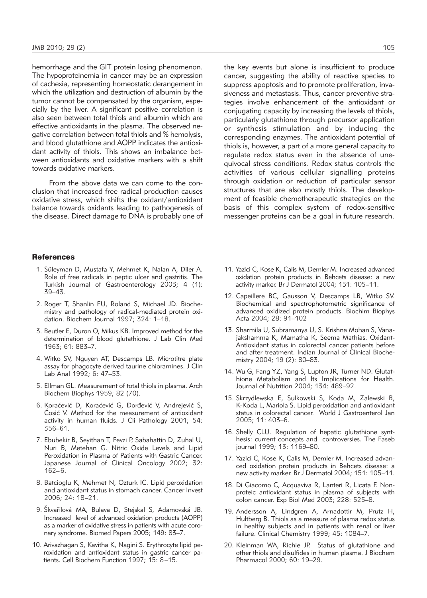hemorrhage and the GIT protein losing phenomenon. The hypoproteinemia in cancer may be an expression of cachexia, representing homeostatic derangement in which the utilization and destruction of albumin by the tumor cannot be compensated by the organism, especially by the liver. A significant positive correlation is also seen between total thiols and albumin which are effective antioxidants in the plasma. The observed negative correlation between total thiols and % hemolysis, and blood glutathione and AOPP indicates the antioxidant activity of thiols. This shows an imbalance between antioxidants and oxidative markers with a shift towards oxidative markers.

From the above data we can come to the conclusion that increased free radical production causes oxidative stress, which shifts the oxidant/antioxidant balance towards oxidants leading to pathogenesis of the disease. Direct damage to DNA is probably one of

#### **References**

- 1. Süleyman D, Mustafa Y, Mehmet K, Nalan A, Diler A. Role of free radicals in peptic ulcer and gastritis. The Turkish Journal of Gastroenterology 2003; 4 (1): 39–43.
- 2. Roger T, Shanlin FU, Roland S, Michael JD. Biochemistry and pathology of radical-mediated protein oxidation. Biochem Journal 1997; 324: 1–18.
- 3. Beutler E, Duron O, Mikus KB. Improved method for the determination of blood glutathione. J Lab Clin Med 1963; 61: 883–7.
- 4. Witko SV, Nguyen AT, Descamps LB. Microtitre plate assay for phagocyte derived taurine chioramines. J Clin Lab Anal 1992; 6: 47–53.
- 5. Ellman GL. Measurement of total thiols in plasma. Arch Biochem Biophys 1959; 82 (70).
- 6. Koraćević D, Koraćević G, Đorđević V, Andrejević S, Cosić V. Method for the measurement of antioxidant activity in human fluids. J Cli Pathology 2001; 54: 356–61.
- 7. Ebubekir B, Seyithan T, Fevzi P, Sabahattin D, Zuhal U, Nuri B, Metehan G. Nitric Oxide Levels and Lipid Peroxidation in Plasma of Patients with Gastric Cancer. Japanese Journal of Clinical Oncology 2002; 32: 162–6.
- 8. Batcioglu K, Mehmet N, Ozturk IC. Lipid peroxidation and antioxidant status in stomach cancer. Cancer Invest 2006; 24: 18–21.
- 9. Škvařilová MA, Bulava D, Stejskal S, Adamovská JB. Increased level of advanced oxidation products (AOPP) as a marker of oxidative stress in patients with acute coronary syndrome. Biomed Papers 2005; 149: 83–7.
- 10. Arivazhagan S, Kavitha K, Nagini S. Erythrocyte lipid peroxidation and antioxidant status in gastric cancer patients. Cell Biochem Function 1997; 15: 8–15.

the key events but alone is insufficient to produce cancer, suggesting the ability of reactive species to suppress apoptosis and to promote proliferation, invasiveness and metastasis. Thus, cancer preventive strategies involve enhancement of the antioxidant or conjugating capacity by increasing the levels of thiols, particularly glutathione through precursor application or synthesis stimulation and by inducing the corresponding enzymes. The antioxidant potential of thiols is, however, a part of a more general capacity to regulate redox status even in the absence of unequivocal stress conditions. Redox status controls the activities of various cellular signalling proteins through oxidation or reduction of particular sensor structures that are also mostly thiols. The development of feasible chemotherapeutic strategies on the basis of this complex system of redox-sensitive messenger proteins can be a goal in future research.

- 11. Yazici C, Kose K, Calis M, Demler M. Increased advanced oxidation protein products in Behcets disease: a new activity marker. Br J Dermatol 2004; 151: 105–11.
- 12. Capeillere BC, Gausson V, Descamps LB, Witko SV. Biochemical and spectrophotometric significance of advanced oxidized protein products. Biochim Biophys Acta 2004; 28: 91–102
- 13. Sharmila U, Subramanya U, S. Krishna Mohan S, Vanajakshamma K, Mamatha K, Seema Mathias. Oxidant-Antioxidant status in colorectal cancer patients before and after treatment. Indian Journal of Clinical Biochemistry 2004; 19 (2): 80–83.
- 14. Wu G, Fang YZ, Yang S, Lupton JR, Turner ND. Glutat hione Metabolism and Its Implications for Health. Journal of Nutrition 2004; 134: 489–92.
- 15. Skrzydlewska E, Sulkowski S, Koda M, Zalewski B, K-Koda L, Mariola S. Lipid peroxidation and antioxidant status in colorectal cancer. World J Gastroenterol Jan 2005; 11: 403–6.
- 16. Shelly CLU. Regulation of hepatic glutathione synthesis: current concepts and controversies. The Faseb journal 1999; 13: 1169–80.
- 17. Yazici C, Kose K, Calis M, Demler M. Increased advanced oxidation protein products in Behcets disease: a new activity marker. Br J Dermatol 2004; 151: 105–11.
- 18. Di Giacomo C, Acquaviva R, Lanteri R, Licata F. Nonproteic antioxidant status in plasma of subjects with colon cancer. Exp Biol Med 2003; 228: 525–8.
- 19*.* Andersson A, Lindgren A, Arnadottir M, Prutz H, Hultberg B. Thiols as a measure of plasma redox status in healthy subjects and in patients with renal or liver failure. Clinical Chemistry 1999; 45: 1084–7.
- 20. Kleinman WA, Richie JP. Status of glutathione and other thiols and disulfides in human plasma. J Biochem Pharmacol 2000; 60: 19-29.